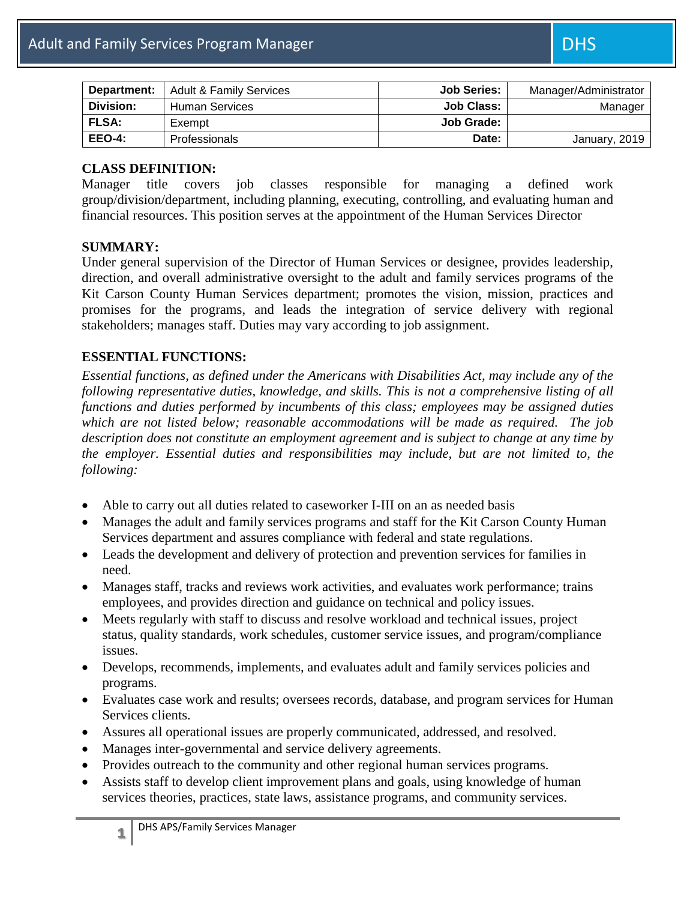| Department:   | <b>Adult &amp; Family Services</b> | <b>Job Series:</b> | Manager/Administrator |
|---------------|------------------------------------|--------------------|-----------------------|
| Division:     | <b>Human Services</b>              | <b>Job Class:</b>  | Manager               |
| <b>FLSA:</b>  | Exempt                             | Job Grade:         |                       |
| <b>EEO-4:</b> | <b>Professionals</b>               | Date:              | January, 2019         |

#### **CLASS DEFINITION:**

Manager title covers job classes responsible for managing a defined work group/division/department, including planning, executing, controlling, and evaluating human and financial resources. This position serves at the appointment of the Human Services Director

#### **SUMMARY:**

Under general supervision of the Director of Human Services or designee, provides leadership, direction, and overall administrative oversight to the adult and family services programs of the Kit Carson County Human Services department; promotes the vision, mission, practices and promises for the programs, and leads the integration of service delivery with regional stakeholders; manages staff. Duties may vary according to job assignment.

### **ESSENTIAL FUNCTIONS:**

*Essential functions, as defined under the Americans with Disabilities Act, may include any of the following representative duties, knowledge, and skills. This is not a comprehensive listing of all functions and duties performed by incumbents of this class; employees may be assigned duties which are not listed below; reasonable accommodations will be made as required. The job description does not constitute an employment agreement and is subject to change at any time by the employer. Essential duties and responsibilities may include, but are not limited to, the following:*

- Able to carry out all duties related to caseworker I-III on an as needed basis
- Manages the adult and family services programs and staff for the Kit Carson County Human Services department and assures compliance with federal and state regulations.
- Leads the development and delivery of protection and prevention services for families in need.
- Manages staff, tracks and reviews work activities, and evaluates work performance; trains employees, and provides direction and guidance on technical and policy issues.
- Meets regularly with staff to discuss and resolve workload and technical issues, project status, quality standards, work schedules, customer service issues, and program/compliance issues.
- Develops, recommends, implements, and evaluates adult and family services policies and programs.
- Evaluates case work and results; oversees records, database, and program services for Human Services clients.
- Assures all operational issues are properly communicated, addressed, and resolved.
- Manages inter-governmental and service delivery agreements.
- Provides outreach to the community and other regional human services programs.
- Assists staff to develop client improvement plans and goals, using knowledge of human services theories, practices, state laws, assistance programs, and community services.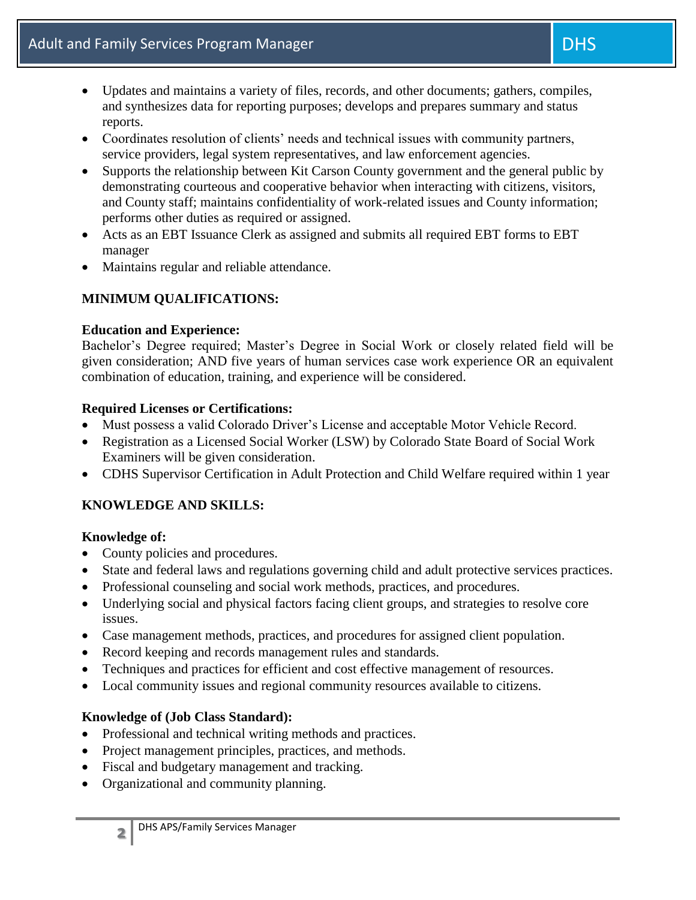- Updates and maintains a variety of files, records, and other documents; gathers, compiles, and synthesizes data for reporting purposes; develops and prepares summary and status reports.
- Coordinates resolution of clients' needs and technical issues with community partners, service providers, legal system representatives, and law enforcement agencies.
- Supports the relationship between Kit Carson County government and the general public by demonstrating courteous and cooperative behavior when interacting with citizens, visitors, and County staff; maintains confidentiality of work-related issues and County information; performs other duties as required or assigned.
- Acts as an EBT Issuance Clerk as assigned and submits all required EBT forms to EBT manager
- Maintains regular and reliable attendance.

# **MINIMUM QUALIFICATIONS:**

## **Education and Experience:**

Bachelor's Degree required; Master's Degree in Social Work or closely related field will be given consideration; AND five years of human services case work experience OR an equivalent combination of education, training, and experience will be considered.

## **Required Licenses or Certifications:**

- Must possess a valid Colorado Driver's License and acceptable Motor Vehicle Record.
- Registration as a Licensed Social Worker (LSW) by Colorado State Board of Social Work Examiners will be given consideration.
- CDHS Supervisor Certification in Adult Protection and Child Welfare required within 1 year

# **KNOWLEDGE AND SKILLS:**

# **Knowledge of:**

- County policies and procedures.
- State and federal laws and regulations governing child and adult protective services practices.
- Professional counseling and social work methods, practices, and procedures.
- Underlying social and physical factors facing client groups, and strategies to resolve core issues.
- Case management methods, practices, and procedures for assigned client population.
- Record keeping and records management rules and standards.
- Techniques and practices for efficient and cost effective management of resources.
- Local community issues and regional community resources available to citizens.

# **Knowledge of (Job Class Standard):**

- Professional and technical writing methods and practices.
- Project management principles, practices, and methods.
- Fiscal and budgetary management and tracking.
- Organizational and community planning.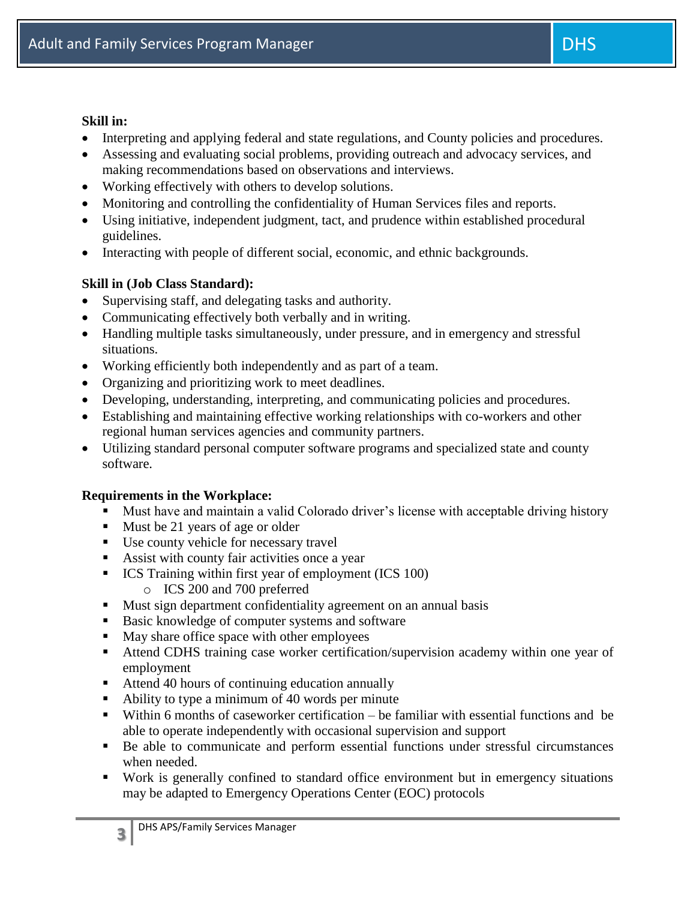#### **Skill in:**

- Interpreting and applying federal and state regulations, and County policies and procedures.
- Assessing and evaluating social problems, providing outreach and advocacy services, and making recommendations based on observations and interviews.
- Working effectively with others to develop solutions.
- Monitoring and controlling the confidentiality of Human Services files and reports.
- Using initiative, independent judgment, tact, and prudence within established procedural guidelines.
- Interacting with people of different social, economic, and ethnic backgrounds.

## **Skill in (Job Class Standard):**

- Supervising staff, and delegating tasks and authority.
- Communicating effectively both verbally and in writing.
- Handling multiple tasks simultaneously, under pressure, and in emergency and stressful situations.
- Working efficiently both independently and as part of a team.
- Organizing and prioritizing work to meet deadlines.
- Developing, understanding, interpreting, and communicating policies and procedures.
- Establishing and maintaining effective working relationships with co-workers and other regional human services agencies and community partners.
- Utilizing standard personal computer software programs and specialized state and county software.

### **Requirements in the Workplace:**

- Must have and maintain a valid Colorado driver's license with acceptable driving history
- Must be 21 years of age or older
- Use county vehicle for necessary travel
- Assist with county fair activities once a year
- ICS Training within first year of employment (ICS 100)
	- o ICS 200 and 700 preferred
- Must sign department confidentiality agreement on an annual basis
- Basic knowledge of computer systems and software
- May share office space with other employees
- Attend CDHS training case worker certification/supervision academy within one year of employment
- Attend 40 hours of continuing education annually
- Ability to type a minimum of 40 words per minute
- Within 6 months of caseworker certification be familiar with essential functions and be able to operate independently with occasional supervision and support
- Be able to communicate and perform essential functions under stressful circumstances when needed.
- Work is generally confined to standard office environment but in emergency situations may be adapted to Emergency Operations Center (EOC) protocols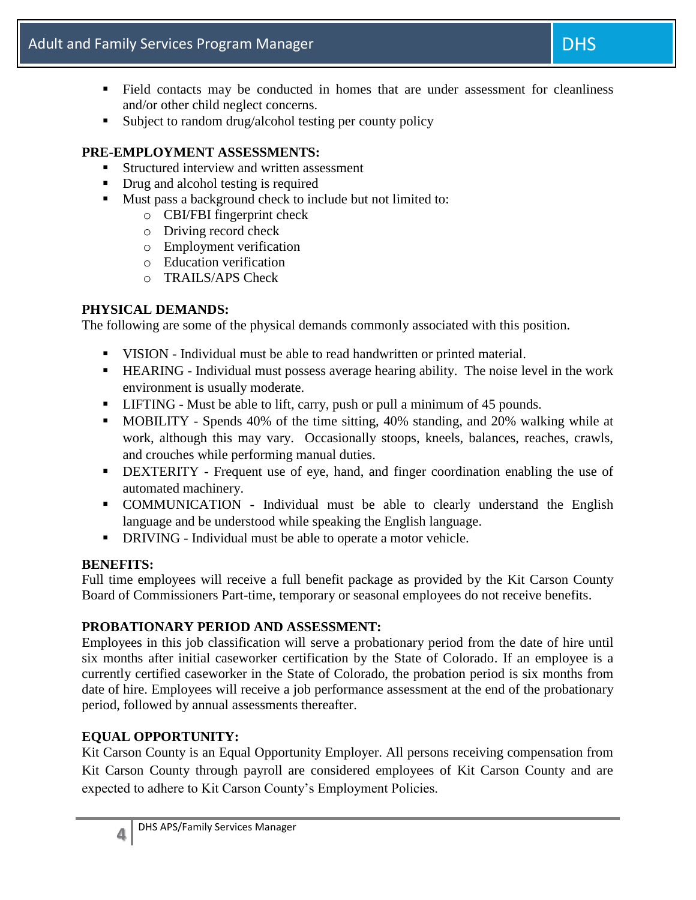- Field contacts may be conducted in homes that are under assessment for cleanliness and/or other child neglect concerns.
- Subject to random drug/alcohol testing per county policy

## **PRE-EMPLOYMENT ASSESSMENTS:**

- Structured interview and written assessment
- Drug and alcohol testing is required
- Must pass a background check to include but not limited to:
	- o CBI/FBI fingerprint check
	- o Driving record check
	- o Employment verification
	- o Education verification
	- o TRAILS/APS Check

# **PHYSICAL DEMANDS:**

The following are some of the physical demands commonly associated with this position.

- VISION Individual must be able to read handwritten or printed material.
- HEARING Individual must possess average hearing ability. The noise level in the work environment is usually moderate.
- LIFTING Must be able to lift, carry, push or pull a minimum of 45 pounds.
- MOBILITY Spends 40% of the time sitting, 40% standing, and 20% walking while at work, although this may vary. Occasionally stoops, kneels, balances, reaches, crawls, and crouches while performing manual duties.
- DEXTERITY Frequent use of eye, hand, and finger coordination enabling the use of automated machinery.
- COMMUNICATION Individual must be able to clearly understand the English language and be understood while speaking the English language.
- DRIVING Individual must be able to operate a motor vehicle.

### **BENEFITS:**

Full time employees will receive a full benefit package as provided by the Kit Carson County Board of Commissioners Part-time, temporary or seasonal employees do not receive benefits.

### **PROBATIONARY PERIOD AND ASSESSMENT:**

Employees in this job classification will serve a probationary period from the date of hire until six months after initial caseworker certification by the State of Colorado. If an employee is a currently certified caseworker in the State of Colorado, the probation period is six months from date of hire. Employees will receive a job performance assessment at the end of the probationary period, followed by annual assessments thereafter.

# **EQUAL OPPORTUNITY:**

Kit Carson County is an Equal Opportunity Employer. All persons receiving compensation from Kit Carson County through payroll are considered employees of Kit Carson County and are expected to adhere to Kit Carson County's Employment Policies.

**4**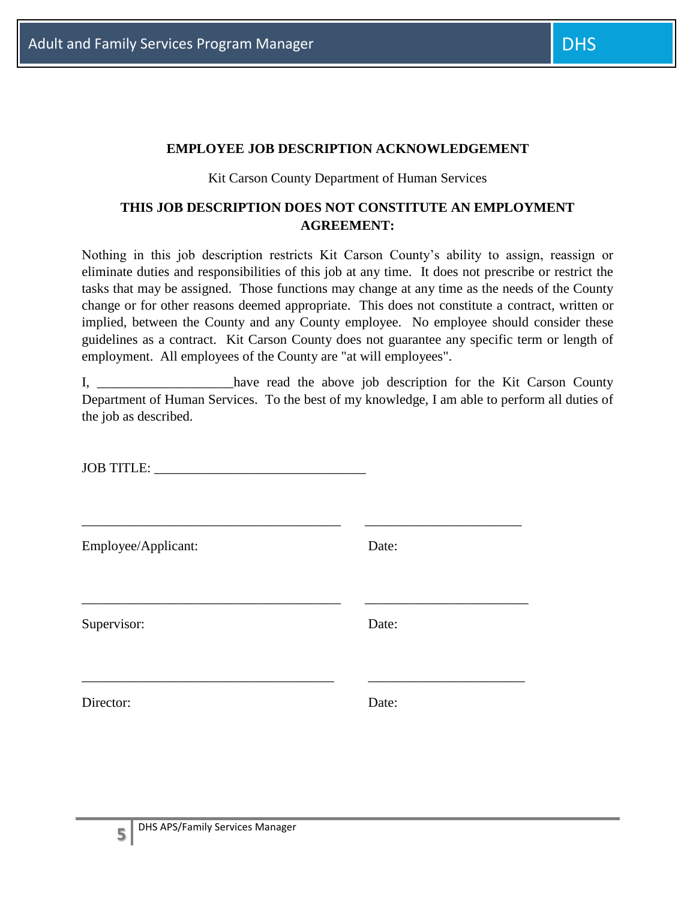#### **EMPLOYEE JOB DESCRIPTION ACKNOWLEDGEMENT**

#### Kit Carson County Department of Human Services

## **THIS JOB DESCRIPTION DOES NOT CONSTITUTE AN EMPLOYMENT AGREEMENT:**

Nothing in this job description restricts Kit Carson County's ability to assign, reassign or eliminate duties and responsibilities of this job at any time. It does not prescribe or restrict the tasks that may be assigned. Those functions may change at any time as the needs of the County change or for other reasons deemed appropriate. This does not constitute a contract, written or implied, between the County and any County employee. No employee should consider these guidelines as a contract. Kit Carson County does not guarantee any specific term or length of employment. All employees of the County are "at will employees".

I, have read the above job description for the Kit Carson County Department of Human Services. To the best of my knowledge, I am able to perform all duties of the job as described.

JOB TITLE:

\_\_\_\_\_\_\_\_\_\_\_\_\_\_\_\_\_\_\_\_\_\_\_\_\_\_\_\_\_\_\_\_\_\_\_\_\_\_ \_\_\_\_\_\_\_\_\_\_\_\_\_\_\_\_\_\_\_\_\_\_\_ Employee/Applicant: Date: \_\_\_\_\_\_\_\_\_\_\_\_\_\_\_\_\_\_\_\_\_\_\_\_\_\_\_\_\_\_\_\_\_\_\_\_\_\_ \_\_\_\_\_\_\_\_\_\_\_\_\_\_\_\_\_\_\_\_\_\_\_\_ Supervisor: Date: \_\_\_\_\_\_\_\_\_\_\_\_\_\_\_\_\_\_\_\_\_\_\_\_\_\_\_\_\_\_\_\_\_\_\_\_\_ \_\_\_\_\_\_\_\_\_\_\_\_\_\_\_\_\_\_\_\_\_\_\_ Director: Date: Date: